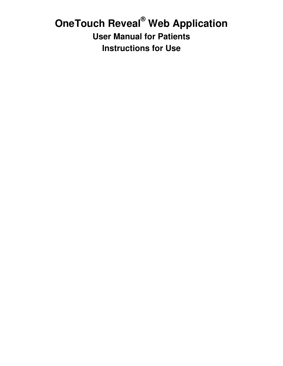# **OneTouch Reveal® Web Application User Manual for Patients Instructions for Use**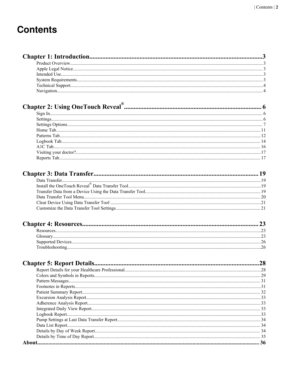# **Contents**

# 

| 36 |
|----|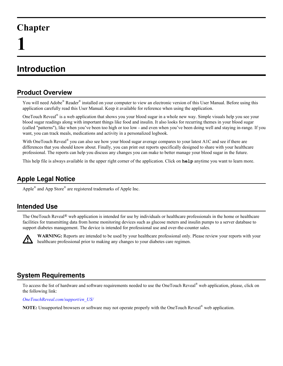# <span id="page-2-0"></span>**Chapter**

# **Introduction**

# **Product Overview**

You will need Adobe® Reader® installed on your computer to view an electronic version of this User Manual. Before using this application carefully read this User Manual. Keep it available for reference when using the application.

OneTouch Reveal<sup>®</sup> is a web application that shows you your blood sugar in a whole new way. Simple visuals help you see your blood sugar readings along with important things like food and insulin. It also looks for recurring themes in your blood sugar (called "patterns"), like when you've been too high or too low - and even when you've been doing well and staying in-range. If you want, you can track meals, medications and activity in a personalized logbook.

With OneTouch Reveal<sup>®</sup> you can also see how your blood sugar average compares to your latest A1C and see if there are differences that you should know about. Finally, you can print out reports specifically designed to share with your healthcare professional. The reports can help you discuss any changes you can make to better manage your blood sugar in the future.

This help file is always available in the upper right corner of the application. Click on **help** anytime you want to learn more.

# **Apple Legal Notice**

Apple<sup>®</sup> and App Store<sup>®</sup> are registered trademarks of Apple Inc.

# **Intended Use**

The OneTouch Reveal<sup>®</sup> web application is intended for use by individuals or healthcare professionals in the home or healthcare facilities for transmitting data from home monitoring devices such as glucose meters and insulin pumps to a server database to support diabetes management. The device is intended for professional use and over-the-counter sales.



**WARNING:** Reports are intended to be used by your healthcare professional only. Please review your reports with your healthcare professional prior to making any changes to your diabetes care regimen.

# **System Requirements**

To access the list of hardware and software requirements needed to use the OneTouch Reveal® web application, please, click on the following link:

*[OneTouchReveal.com/support/en\\_US/](https://OneTouchReveal.com/support/en_US/)*

**NOTE:** Unsupported browsers or software may not operate properly with the OneTouch Reveal® web application.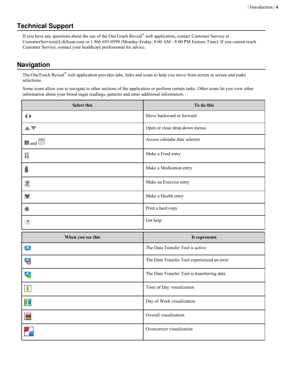# <span id="page-3-0"></span>**Technical Support**

If you have any questions about the use of the OneTouch Reveal® web application, contact Customer Service at CustomerService@LifeScan.com or 1 866 693-0599 (Monday-Friday, 8:00 AM - 8:00 PM Eastern Time). If you cannot reach Customer Service, contact your healthcare professional for advice.

# **Navigation**

The OneTouch Reveal<sup>®</sup> web application provides tabs, links and icons to help you move from screen to screen and make selections.

Some icons allow you to navigate to other sections of the application or perform certain tasks. Other icons let you view other information about your blood sugar readings, patterns and enter additional information.

| <b>Select this</b> | To do this                                  |
|--------------------|---------------------------------------------|
| ♦                  | Move backward or forward                    |
|                    | Open or close drop-down menus               |
| in and [31]        | Access calendar date selector               |
| Ħ                  | Make a Food entry                           |
|                    | Make a Medication entry                     |
| 玝                  | Make an Exercise entry                      |
|                    | Make a Health entry                         |
| ē.                 | Print a hard copy                           |
|                    | Get help                                    |
| $\sqrt{2}$         |                                             |
| When you see this  | It represents                               |
| بالمجر             | The Data Transfer Tool is active            |
| $\mathbf{z}$       | The Data Transfer Tool experienced an error |
| ÷.                 | The Data Transfer Tool is transferring data |
| $\bullet$          | Time of Day visualization                   |
| $\mathbf I$        | Day of Week visualization                   |
| E                  | Overall visualization                       |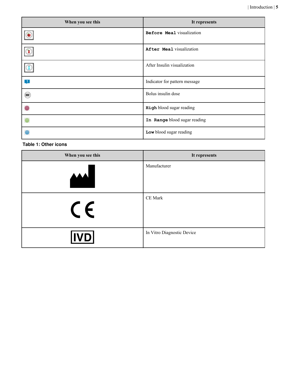| When you see this | It represents                 |
|-------------------|-------------------------------|
|                   | Before Meal visualization     |
| $\circledast$     | After Meal visualization      |
| $\bigcirc$        | After Insulin visualization   |
| $\blacksquare$    | Indicator for pattern message |
|                   | Bolus insulin dose            |
|                   | High blood sugar reading      |
|                   | In Range blood sugar reading  |
|                   | Low blood sugar reading       |

#### **Table 1: Other icons**

| When you see this        | It represents              |
|--------------------------|----------------------------|
| $\overline{\phantom{a}}$ | Manufacturer               |
| $C \in$                  | CE Mark                    |
| <b>IVD</b>               | In Vitro Diagnostic Device |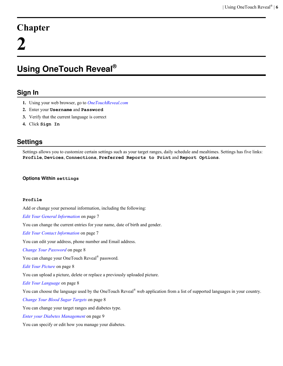# <span id="page-5-0"></span>**Chapter**

# **Using OneTouch Reveal®**

# **Sign In**

- **1.** Using your web browser, go to *[OneTouchReveal.com](https://OneTouchReveal.com)*
- **2.** Enter your **Username** and **Password**
- **3.** Verify that the current language is correct
- **4.** Click **Sign In**

# **Settings**

Settings allows you to customize certain settings such as your target ranges, daily schedule and mealtimes. Settings has five links: **Profile**, **Devices**, **Connections**, **Preferred Reports to Print** and **Report Options**.

### **Options Within settings**

### **Profile**

Add or change your personal information, including the following:

*[Edit Your General Information](#page-6-0)* on page 7

You can change the current entries for your name, date of birth and gender.

*[Edit Your Contact Information](#page-6-0)* on page 7

You can edit your address, phone number and Email address.

*[Change Your Password](#page-7-0)* on page 8

You can change your OneTouch Reveal® password.

*[Edit Your Picture](#page-7-0)* on page 8

You can upload a picture, delete or replace a previously uploaded picture.

*[Edit Your Language](#page-7-0)* on page 8

You can choose the language used by the OneTouch Reveal<sup>®</sup> web application from a list of supported languages in your country.

*[Change Your Blood Sugar Targets](#page-7-0)* on page 8

You can change your target ranges and diabetes type.

*[Enter your Diabetes Management](#page-8-0)* on page 9

You can specify or edit how you manage your diabetes.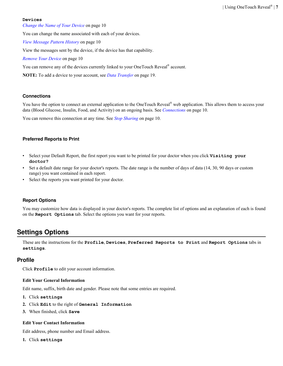#### <span id="page-6-0"></span>**Devices**

*[Change the Name of Your Device](#page-9-0)* on page 10

You can change the name associated with each of your devices.

*[View Message Pattern History](#page-9-0)* on page 10

View the messages sent by the device, if the device has that capability.

*[Remove Your Device](#page-9-0)* on page 10

You can remove any of the devices currently linked to your OneTouch Reveal<sup>®</sup> account.

**NOTE:** To add a device to your account, see *[Data Transfer](#page-18-0)* on page 19.

#### **Connections**

You have the option to connect an external application to the OneTouch Reveal<sup>®</sup> web application. This allows them to access your data (Blood Glucose, Insulin, Food, and Activity) on an ongoing basis. See *[Connections](#page-9-0)* on page 10.

You can remove this connection at any time. See *[Stop Sharing](#page-9-0)* on page 10.

#### **Preferred Reports to Print**

- Select your Default Report, the first report you want to be printed for your doctor when you click **Visiting your doctor?**
- Set a default date range for your doctor's reports. The date range is the number of days of data (14, 30, 90 days or custom range) you want contained in each report.
- Select the reports you want printed for your doctor.

#### **Report Options**

You may customize how data is displayed in your doctor's reports. The complete list of options and an explanation of each is found on the **Report Options** tab. Select the options you want for your reports.

# **Settings Options**

These are the instructions for the **Profile**, **Devices**, **Preferred Reports to Print** and **Report Options** tabs in **settings**.

#### **Profile**

Click **Profile** to edit your account information.

#### **Edit Your General Information**

Edit name, suffix, birth date and gender. Please note that some entries are required.

- **1.** Click **settings**
- **2.** Click **Edit** to the right of **General Information**
- **3.** When finished, click **Save**

#### **Edit Your Contact Information**

Edit address, phone number and Email address.

**1.** Click **settings**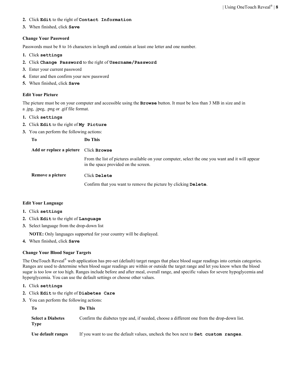- <span id="page-7-0"></span>**2.** Click **Edit** to the right of **Contact Information**
- **3.** When finished, click **Save**

#### **Change Your Password**

Passwords must be 8 to 16 characters in length and contain at least one letter and one number.

- **1.** Click **settings**
- **2.** Click **Change Password** to the right of **Username/Password**
- **3.** Enter your current password
- **4.** Enter and then confirm your new password
- **5.** When finished, click **Save**

#### **Edit Your Picture**

The picture must be on your computer and accessible using the **Browse** button. It must be less than 3 MB in size and in a .jpg, .jpeg, .png or .gif file format.

- **1.** Click **settings**
- **2.** Click **Edit** to the right of **My Picture**
- **3.** You can perform the following actions:

**To Do This**

**Add or replace a picture** Click **Browse**

From the list of pictures available on your computer, select the one you want and it will appear in the space provided on the screen.

**Remove a picture** Click **Delete**

Confirm that you want to remove the picture by clicking **Delete**.

#### **Edit Your Language**

- **1.** Click **settings**
- **2.** Click **Edit** to the right of **Language**
- **3.** Select language from the drop-down list

**NOTE:** Only languages supported for your country will be displayed.

**4.** When finished, click **Save**

#### **Change Your Blood Sugar Targets**

The OneTouch Reveal<sup>®</sup> web application has pre-set (default) target ranges that place blood sugar readings into certain categories. Ranges are used to determine when blood sugar readings are within or outside the target range and let you know when the blood sugar is too low or too high. Ranges include before and after meal, overall range, and specific values for severe hypoglycemia and hyperglycemia. You can use the default settings or choose other values.

- **1.** Click **settings**
- **2.** Click **Edit** to the right of **Diabetes Care**
- **3.** You can perform the following actions:

| - To                                    | Do This                                                                                   |
|-----------------------------------------|-------------------------------------------------------------------------------------------|
| <b>Select a Diabetes</b><br><b>Type</b> | Confirm the diabetes type and, if needed, choose a different one from the drop-down list. |
| Use default ranges                      | If you want to use the default values, uncheck the box next to <b>Set</b> custom ranges.  |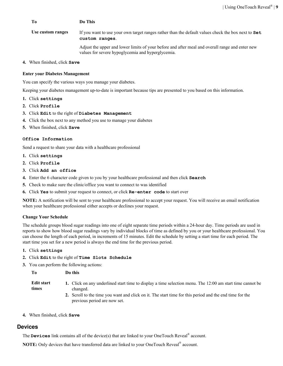<span id="page-8-0"></span>

| To                | Do This                                                                                                                                              |
|-------------------|------------------------------------------------------------------------------------------------------------------------------------------------------|
| Use custom ranges | If you want to use your own target ranges rather than the default values check the box next to Set<br>custom ranges.                                 |
|                   | Adjust the upper and lower limits of your before and after meal and overall range and enter new<br>values for severe hypoglycemia and hyperglycemia. |

**4.** When finished, click **Save**

#### **Enter your Diabetes Management**

You can specify the various ways you manage your diabetes.

Keeping your diabetes management up-to-date is important because tips are presented to you based on this information.

- **1.** Click **settings**
- **2.** Click **Profile**
- **3.** Click **Edit** to the right of **Diabetes Management**
- **4.** Click the box next to any method you use to manage your diabetes
- **5.** When finished, click **Save**

#### **Office Information**

Send a request to share your data with a healthcare professional

- **1.** Click **settings**
- **2.** Click **Profile**
- **3.** Click **Add an office**
- **4.** Enter the 6 character code given to you by your healthcare professional and then click **Search**
- **5.** Check to make sure the clinic/office you want to connect to was identified
- **6.** Click **Yes** to submit your request to connect, or click **Re-enter code** to start over

**NOTE:** A notification will be sent to your healthcare professional to accept your request. You will receive an email notification when your healthcare professional either accepts or declines your request.

#### **Change Your Schedule**

The schedule groups blood sugar readings into one of eight separate time periods within a 24-hour day. Time periods are used in reports to show how blood sugar readings vary by individual blocks of time as defined by you or your healthcare professional. You can choose the length of each period, in increments of 15 minutes. Edit the schedule by setting a start time for each period. The start time you set for a new period is always the end time for the previous period.

#### **1.** Click **settings**

- **2.** Click **Edit** to the right of **Time Slots Schedule**
- **3.** You can perform the following actions:

| Tо | Do this |
|----|---------|
|    |         |

| Edit start | 1. Click on any underlined start time to display a time selection menu. The 12:00 am start time cannot be |
|------------|-----------------------------------------------------------------------------------------------------------|
| times      | changed.                                                                                                  |

- **2.** Scroll to the time you want and click on it. The start time for this period and the end time for the previous period are now set.
- **4.** When finished, click **Save**

#### **Devices**

The **Devices** link contains all of the device(s) that are linked to your OneTouch Reveal<sup>®</sup> account.

**NOTE:** Only devices that have transferred data are linked to your OneTouch Reveal® account.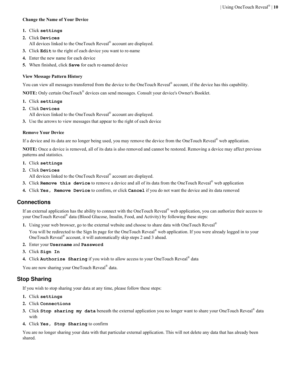#### <span id="page-9-0"></span>**Change the Name of Your Device**

#### **1.** Click **settings**

#### **2.** Click **Devices**

- All devices linked to the OneTouch Reveal<sup>®</sup> account are displayed.
- **3.** Click **Edit** to the right of each device you want to re-name
- **4.** Enter the new name for each device
- **5.** When finished, click **Save** for each re-named device

#### **View Message Pattern History**

You can view all messages transferred from the device to the OneTouch Reveal® account, if the device has this capability.

**NOTE:** Only certain OneTouch® devices can send messages. Consult your device's Owner's Booklet.

- **1.** Click **settings**
- **2.** Click **Devices**

All devices linked to the OneTouch Reveal® account are displayed.

**3.** Use the arrows to view messages that appear to the right of each device

#### **Remove Your Device**

If a device and its data are no longer being used, you may remove the device from the OneTouch Reveal® web application.

**NOTE:** Once a device is removed, all of its data is also removed and cannot be restored. Removing a device may affect previous patterns and statistics.

- **1.** Click **settings**
- **2.** Click **Devices**

All devices linked to the OneTouch Reveal® account are displayed.

- **3.** Click **Remove** this device to remove a device and all of its data from the OneTouch Reveal<sup>®</sup> web application
- **4.** Click **Yes, Remove Device** to confirm, or click **Cancel** if you do not want the device and its data removed

### **Connections**

If an external application has the ability to connect with the OneTouch Reveal® web application, you can authorize their access to your OneTouch Reveal® data (Blood Glucose, Insulin, Food, and Activity) by following these steps:

**1.** Using your web browser, go to the external website and choose to share data with OneTouch Reveal®

You will be redirected to the Sign In page for the OneTouch Reveal<sup>®</sup> web application. If you were already logged in to your OneTouch Reveal<sup>®</sup> account, it will automatically skip steps 2 and 3 ahead.

- **2.** Enter your **Username** and **Password**
- **3.** Click **Sign In**
- **4.** Click **Authorize Sharing** if you wish to allow access to your OneTouch Reveal® data

You are now sharing your OneTouch Reveal® data.

## **Stop Sharing**

If you wish to stop sharing your data at any time, please follow these steps:

- **1.** Click **settings**
- **2.** Click **Connections**
- **3.** Click **Stop sharing my data** beneath the external application you no longer want to share your OneTouch Reveal® data with
- **4.** Click **Yes, Stop Sharing** to confirm

You are no longer sharing your data with that particular external application. This will not delete any data that has already been shared.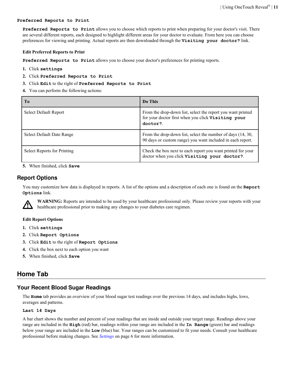#### <span id="page-10-0"></span>**Preferred Reports to Print**

**Preferred Reports to Print** allows you to choose which reports to print when preparing for your doctor's visit. There are several different reports, each designed to highlight different areas for your doctor to evaluate. From here you can choose preferences for viewing and printing. Actual reports are then downloaded through the **Visiting your doctor?** link.

#### **Edit Preferred Reports to Print**

**Preferred Reports to Print** allows you to choose your doctor's preferences for printing reports.

- **1.** Click **settings**
- **2.** Click **Preferred Reports to Print**
- **3.** Click **Edit** to the right of **Preferred Reports to Print**
- **4.** You can perform the following actions:

| To                               | Do This                                                                                                                      |
|----------------------------------|------------------------------------------------------------------------------------------------------------------------------|
| <b>Select Default Report</b>     | From the drop-down list, select the report you want printed<br>for your doctor first when you click Visiting your<br>doctor? |
| <b>Select Default Date Range</b> | From the drop-down list, select the number of days (14, 30,<br>90 days or custom range) you want included in each report.    |
| Select Reports for Printing      | Check the box next to each report you want printed for your<br>doctor when you click Visiting your doctor?.                  |

**5.** When finished, click **Save**

#### **Report Options**

You may customize how data is displayed in reports. A list of the options and a description of each one is found on the **Report Options** link.



**WARNING:** Reports are intended to be used by your healthcare professional only. Please review your reports with your healthcare professional prior to making any changes to your diabetes care regimen.

#### **Edit Report Options**

- **1.** Click **settings**
- **2.** Click **Report Options**
- **3.** Click **Edit** to the right of **Report Options**
- **4.** Click the box next to each option you want
- **5.** When finished, click **Save**

# **Home Tab**

#### **Your Recent Blood Sugar Readings**

The **Home** tab provides an overview of your blood sugar test readings over the previous 14 days, and includes highs, lows, averages and patterns.

#### **Last 14 Days**

A bar chart shows the number and percent of your readings that are inside and outside your target range. Readings above your range are included in the **High** (red) bar, readings within your range are included in the **In Range** (green) bar and readings below your range are included in the **Low** (blue) bar. Your ranges can be customized to fit your needs. Consult your healthcare professional before making changes. See *[Settings](#page-5-0)* on page 6 for more information.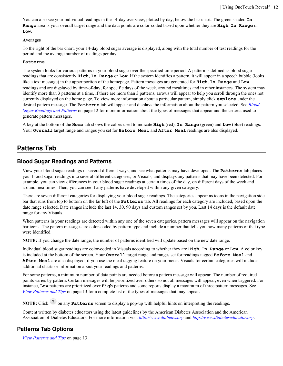<span id="page-11-0"></span>You can also see your individual readings in the 14-day overview, plotted by day, below the bar chart. The green shaded  $\text{In}$ **Range** area is your overall target range and the data points are color-coded based upon whether they are **High**, **In Range** or **Low**.

#### **Averages**

To the right of the bar chart, your 14-day blood sugar average is displayed, along with the total number of test readings for the period and the average number of readings per day.

#### **Patterns**

The system looks for various patterns in your blood sugar over the specified time period. A pattern is defined as blood sugar readings that are consistently **High**, **In Range** or **Low**. If the system identifies a pattern, it will appear in a speech bubble (looks like a text message) in the upper portion of the homepage. Pattern messages are generated for **High**, **In Range** and **Low** readings and are displayed by time-of-day, for specific days of the week, around mealtimes and in other instances. The system may identify more than 3 patterns at a time, if there are more than 3 patterns, arrows will appear to help you scroll through the ones not currently displayed on the home page. To view more information about a particular pattern, simply click **explore** under the desired pattern message. The **Patterns** tab will appear and displays the information about the pattern you selected. See *Blood Sugar Readings and Patterns* on page 12 for more information about the types of messages that appear and the criteria used to generate pattern messages.

A key at the bottom of the **Home** tab shows the colors used to indicate **High** (red), **In Range** (green) and **Low** (blue) readings. Your **Overall** target range and ranges you set for **Before Meal** and **After Meal** readings are also displayed.

# **Patterns Tab**

### **Blood Sugar Readings and Patterns**

View your blood sugar readings in several different ways, and see what patterns may have developed. The **Patterns** tab places your blood sugar readings into several different categories, or Visuals, and displays any patterns that may have been detected. For example, you can view differences in your blood sugar readings at certain times of the day, on different days of the week and around mealtimes. Then, you can see if any patterns have developed within any given category.

There are seven different categories for displaying your blood sugar readings. The categories appear as icons in the navigation side bar that runs from top to bottom on the far left of the **Patterns** tab. All readings for each category are included, based upon the date range selected. Date ranges include the last 14, 30, 90 days and custom ranges set by you. Last 14 days is the default date range for any Visuals.

When patterns in your readings are detected within any one of the seven categories, pattern messages will appear on the navigation bar icons. The pattern messages are color-coded by pattern type and include a number that tells you how many patterns of that type were identified.

**NOTE:** If you change the date range, the number of patterns identified will update based on the new date range.

Individual blood sugar readings are color-coded in Visuals according to whether they are **High**, **In Range** or **Low**. A color key is included at the bottom of the screen. Your **Overall** target range and ranges set for readings tagged **Before Meal** and **After Meal** are also displayed, if you use the meal tagging feature on your meter. Visuals for certain categories will include additional charts or information about your readings and patterns.

For some patterns, a minimum number of data points are needed before a pattern message will appear. The number of required points varies by pattern. Certain messages will be prioritized over others so not all messages will appear, even when triggered. For instance, **Low** patterns are prioritized over **High** patterns and some reports display a maximum of three pattern messages. See *[View Patterns and Tips](#page-12-0)* on page 13 for a complete list of the types of messages that may appear.

**NOTE:** Click <sup>2</sup> on any **Patterns** screen to display a pop-up with helpful hints on interpreting the readings.

Content written by diabetes educators using the latest guidelines by the American Diabetes Association and the American Association of Diabetes Educators. For more information visit *<http://www.diabetes.org>* and *<http://www.diabeteseducator.org>*.

### **Patterns Tab Options**

*[View Patterns and Tips](#page-12-0)* on page 13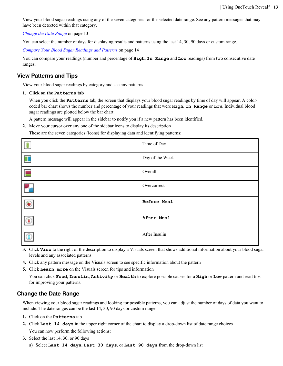<span id="page-12-0"></span>View your blood sugar readings using any of the seven categories for the selected date range. See any pattern messages that may have been detected within that category.

*Change the Date Range* on page 13

You can select the number of days for displaying results and patterns using the last 14, 30, 90 days or custom range.

*[Compare Your Blood Sugar Readings and Patterns](#page-13-0)* on page 14

You can compare your readings (number and percentage of **High**, **In Range** and **Low** readings) from two consecutive date ranges.

#### **View Patterns and Tips**

View your blood sugar readings by category and see any patterns.

**1. Click on the Patterns tab**

When you click the **Patterns** tab, the screen that displays your blood sugar readings by time of day will appear. A colorcoded bar chart shows the number and percentage of your readings that were **High**, **In Range** or **Low**. Individual blood sugar readings are plotted below the bar chart.

A pattern message will appear in the sidebar to notify you if a new pattern has been identified.

**2.** Move your cursor over any one of the sidebar icons to display its description

These are the seven categories (icons) for displaying data and identifying patterns:

| B                       | Time of Day     |
|-------------------------|-----------------|
| $\Box$                  | Day of the Week |
| Е                       | Overall         |
| $\overline{\mathbf{G}}$ | Overcorrect     |
| $\odot$                 | Before Meal     |
| $\circledast$           | After Meal      |
| $\overline{C}$          | After Insulin   |

- **3.** Click **View** to the right of the description to display a Visuals screen that shows additional information about your blood sugar levels and any associated patterns
- **4.** Click any pattern message on the Visuals screen to see specific information about the pattern
- **5.** Click **Learn more** on the Visuals screen for tips and information

You can click **Food**, **Insulin**, **Activity** or **Health** to explore possible causes for a **High** or **Low** pattern and read tips for improving your patterns.

#### **Change the Date Range**

When viewing your blood sugar readings and looking for possible patterns, you can adjust the number of days of data you want to include. The date ranges can be the last 14, 30, 90 days or custom range.

- **1.** Click on the **Patterns** tab
- **2.** Click **Last 14 days** in the upper right corner of the chart to display a drop-down list of date range choices

You can now perform the following actions:

- **3.** Select the last 14, 30, or 90 days
	- a) Select **Last 14 days**, **Last 30 days**, or **Last 90 days** from the drop-down list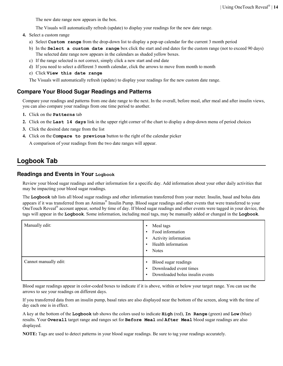<span id="page-13-0"></span>The new date range now appears in the box.

The Visuals will automatically refresh (update) to display your readings for the new date range.

- **4.** Select a custom range
	- a) Select **Custom range** from the drop-down list to display a pop-up calendar for the current 3 month period
	- b) In the **Select a custom date range** box click the start and end dates for the custom range (not to exceed 90 days) The selected date range now appears in the calendars as shaded yellow boxes.
	- c) If the range selected is not correct, simply click a new start and end date
	- d) If you need to select a different 3 month calendar, click the arrows to move from month to month
	- e) Click **View this date range**

The Visuals will automatically refresh (update) to display your readings for the new custom date range.

#### **Compare Your Blood Sugar Readings and Patterns**

Compare your readings and patterns from one date range to the next. In the overall, before meal, after meal and after insulin views, you can also compare your readings from one time period to another.

- **1.** Click on the **Patterns** tab
- **2.** Click on the **Last 14 days** link in the upper right corner of the chart to display a drop-down menu of period choices
- **3.** Click the desired date range from the list
- **4.** Click on the **Compare to previous** button to the right of the calendar picker

A comparison of your readings from the two date ranges will appear.

# **Logbook Tab**

#### **Readings and Events in Your Logbook**

Review your blood sugar readings and other information for a specific day. Add information about your other daily activities that may be impacting your blood sugar readings.

The **Logbook** tab lists all blood sugar readings and other information transferred from your meter. Insulin, basal and bolus data appears if it was transferred from an Animas® Insulin Pump. Blood sugar readings and other events that were transferred to your OneTouch Reveal<sup>®</sup> account appear, sorted by time of day. If blood sugar readings and other events were tagged in your device, the tags will appear in the **Logbook**. Some information, including meal tags, may be manually added or changed in the **Logbook**.

| Manually edit:        | Meal tags<br>$\bullet$<br>Food information<br>$\bullet$<br>Activity information<br>$\bullet$<br>Health information<br>$\bullet$<br><b>Notes</b><br>$\bullet$ |
|-----------------------|--------------------------------------------------------------------------------------------------------------------------------------------------------------|
| Cannot manually edit: | Blood sugar readings<br>$\bullet$<br>Downloaded event times<br>$\bullet$<br>Downloaded bolus insulin events<br>$\bullet$                                     |

Blood sugar readings appear in color-coded boxes to indicate if it is above, within or below your target range. You can use the arrows to see your readings on different days.

If you transferred data from an insulin pump, basal rates are also displayed near the bottom of the screen, along with the time of day each one is in effect.

A key at the bottom of the **Logbook** tab shows the colors used to indicate **High** (red), **In Range** (green) and **Low** (blue) results. Your **Overall** target range and ranges set for **Before Meal** and **After Meal** blood sugar readings are also displayed.

**NOTE:** Tags are used to detect patterns in your blood sugar readings. Be sure to tag your readings accurately.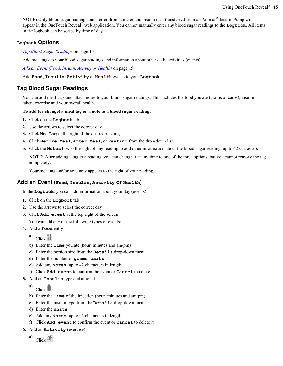<span id="page-14-0"></span>**NOTE:** Only blood sugar readings transferred from a meter and insulin data transferred from an Animas® Insulin Pump will appear in the OneTouch Reveal® web application. You cannot manually enter any blood sugar readings to the **Logbook**. All items in the logbook can be sorted by time of day.

#### **Logbook Options**

*Tag Blood Sugar Readings* on page 15

Add meal tags to your blood sugar readings and information about other daily activities (events).

*Add an Event (Food, Insulin, Activity or Health)* on page 15

Add **Food**, **Insulin**, **Activity** or **Health** events to your **Logbook**.

## **Tag Blood Sugar Readings**

You can add meal tags and attach notes to your blood sugar readings. This includes the food you ate (grams of carbs), insulin taken, exercise and your overall health.

#### **To add (or change) a meal tag or a note to a blood sugar reading:**

- **1.** Click on the **Logbook** tab
- **2.** Use the arrows to select the correct day
- **3.** Click **No Tag** to the right of the desired reading
- **4.** Click **Before Meal**, **After Meal**, or **Fasting** from the drop-down list
- **5.** Click the **Notes** box to the right of any reading to add other information about the blood sugar reading, up to 42 characters

**NOTE:** After adding a tag to a reading, you can change it at any time to one of the three options, but you cannot remove the tag completely.

Your meal tag and/or note now appears to the right of your reading.

#### **Add an Event (Food, Insulin, Activity or Health)**

In the **Logbook**, you can add information about your day (events).

- **1.** Click on the **Logbook** tab
- **2.** Use the arrows to select the correct day
- **3.** Click **Add event** at the top right of the screen

You can add any of the following types of events:

- **4.** Add a **Food** entry
	- a) Click
	- b) Enter the **Time** you ate (hour, minutes and am/pm)
	- c) Enter the portion size from the **Details** drop-down menu
	- d) Enter the number of **grams carbs**
	- e) Add any **Notes**, up to 42 characters in length
	- f) Click **Add event** to confirm the event or **Cancel** to delete
- **5.** Add an **Insulin** type and amount
	- a) Click
	- b) Enter the **Time** of the injection (hour, minutes and am/pm)
	- c) Enter the insulin type from the **Details** drop-down menu
	- d) Enter the **units**
	- e) Add any **Notes**, up to 42 characters in length
	- f) Click **Add event** to confirm the event or **Cancel** to delete it
- **6.** Add an **Activity** (exercise)
	- a) Click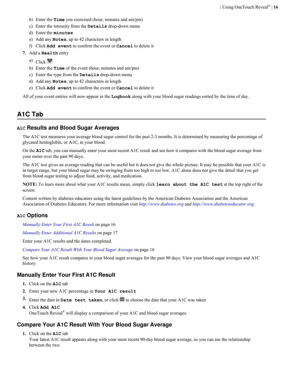- <span id="page-15-0"></span>b) Enter the **Time** you exercised (hour, minutes and am/pm)
- c) Enter the intensity from the **Details** drop-down menu
- d) Enter the **minutes**
- e) Add any **Notes**, up to 42 characters in length
- f) Click **Add event** to confirm the event or **Cancel** to delete it
- **7.** Add a **Health** entry
	- a) Click  $\blacksquare$
	- b) Enter the **Time** of the event (hour, minutes and am/pm)
	- c) Enter the type from the **Details** drop-down menu
	- d) Add any **Notes**, up to 42 characters in length
	- e) Click **Add event** to confirm the event or **Cancel** to delete it

All of your event entries will now appear in the **Logbook** along with your blood sugar readings sorted by the time of day.

# **A1C Tab**

#### **A1C Results and Blood Sugar Averages**

The A1C test measures your average blood sugar control for the past 2-3 months. It is determined by measuring the percentage of glycated hemoglobin, or A1C, in your blood.

On the **A1C** tab, you can manually enter your most recent A1C result and see how it compares with the blood sugar average from your meter over the past 90 days.

The A1C test gives an average reading that can be useful but it does not give the whole picture. It may be possible that your A1C is in target range, but your blood sugar may be swinging from too high to too low. A1C alone does not give the detail that you get from blood sugar testing to adjust food, activity, and medication.

**NOTE:** To learn more about what your A1C results mean, simply click **learn about the A1C test** at the top right of the screen.

Content written by diabetes educators using the latest guidelines by the American Diabetes Association and the American Association of Diabetes Educators. For more information visit *<http://www.diabetes.org>* and *<http://www.diabeteseducator.org>*.

#### **A1C Options**

*Manually Enter Your First A1C Result* on page 16

*[Manually Enter Additional A1C Results](#page-16-0)* on page 17

Enter your A1C results and the dates completed.

*Compare Your A1C Result With Your Blood Sugar Average* on page 16

See how your A1C result compares to your blood sugar averages for the past 90 days. View your blood sugar averages and A1C history.

#### **Manually Enter Your First A1C Result**

- **1.** Click on the **A1C** tab
- **2.** Enter your new A1C percentage in **Your A1C result**
- **3.** Enter the date in **Date test taken**, or click **in** to choose the date that your A1C was taken
- **4.** Click **Add A1C**

OneTouch Reveal<sup>®</sup> will display a comparison of your A1C and blood sugar averages.

### **Compare Your A1C Result With Your Blood Sugar Average**

**1.** Click on the **A1C** tab

Your latest A1C result appears along with your most recent 90-day blood sugar average, so you can see the relationship between the two.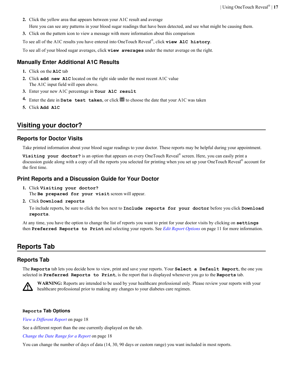<span id="page-16-0"></span>**2.** Click the yellow area that appears between your A1C result and average

Here you can see any patterns in your blood sugar readings that have been detected, and see what might be causing them.

**3.** Click on the pattern icon to view a message with more information about this comparison

To see all of the A1C results you have entered into OneTouch Reveal® , click **view A1C history**.

To see all of your blood sugar averages, click **view averages** under the meter average on the right.

## **Manually Enter Additional A1C Results**

- **1.** Click on the **A1C** tab
- **2.** Click **add new A1C** located on the right side under the most recent A1C value The A1C input field will open above.
- **3.** Enter your new A1C percentage in **Your A1C result**
- **4.** Enter the date in **Date test taken**, or click  $\mathbf{m}$  to choose the date that your A1C was taken
- **5.** Click **Add A1C**

# **Visiting your doctor?**

### **Reports for Doctor Visits**

Take printed information about your blood sugar readings to your doctor. These reports may be helpful during your appointment.

**Visiting your doctor?** is an option that appears on every OneTouch Reveal® screen. Here, you can easily print a discussion guide along with a copy of all the reports you selected for printing when you set up your OneTouch Reveal® account for the first time.

### **Print Reports and a Discussion Guide for Your Doctor**

**1.** Click **Visiting your doctor?**

The **Be prepared for your visit** screen will appear.

**2.** Click **Download reports**

To include reports, be sure to click the box next to **Include reports for your doctor** before you click **Download reports**.

At any time, you have the option to change the list of reports you want to print for your doctor visits by clicking on **settings** then **Preferred Reports to Print** and selecting your reports. See *[Edit Report Options](#page-10-0)* on page 11 for more information.

# **Reports Tab**

### **Reports Tab**

The **Reports** tab lets you decide how to view, print and save your reports. Your **Select a Default Report**, the one you selected in **Preferred Reports to Print**, is the report that is displayed whenever you go to the **Reports** tab.



**WARNING:** Reports are intended to be used by your healthcare professional only. Please review your reports with your healthcare professional prior to making any changes to your diabetes care regimen.

#### **Reports Tab Options**

*[View a Different Report](#page-17-0)* on page 18

See a different report than the one currently displayed on the tab.

*[Change the Date Range for a Report](#page-17-0)* on page 18

You can change the number of days of data  $(14, 30, 90$  days or custom range) you want included in most reports.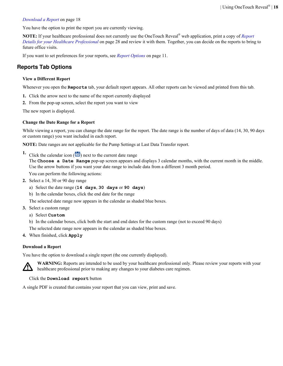<span id="page-17-0"></span>*Download a Report* on page 18

You have the option to print the report you are currently viewing.

**NOTE:** If your healthcare professional does not currently use the OneTouch Reveal® web application, print a copy of *[Report](#page-27-0) [Details for your Healthcare Professional](#page-27-0)* on page 28 and review it with them. Together, you can decide on the reports to bring to future office visits.

If you want to set preferences for your reports, see *[Report Options](#page-10-0)* on page 11.

## **Reports Tab Options**

#### **View a Different Report**

Whenever you open the **Reports** tab, your default report appears. All other reports can be viewed and printed from this tab.

- **1.** Click the arrow next to the name of the report currently displayed
- **2.** From the pop-up screen, select the report you want to view

The new report is displayed.

#### **Change the Date Range for a Report**

While viewing a report, you can change the date range for the report. The date range is the number of days of data (14, 30, 90 days or custom range) you want included in each report.

**NOTE:** Date ranges are not applicable for the Pump Settings at Last Data Transfer report.

**1.** Click the calendar icon  $(\overline{3})$  next to the current date range

The **Choose a Date Range** pop-up screen appears and displays 3 calendar months, with the current month in the middle. Use the arrow buttons if you want your date range to include data from a different 3 month period.

You can perform the following actions:

- **2.** Select a 14, 30 or 90 day range
	- a) Select the date range (**14 days**, **30 days** or **90 days**)
	- b) In the calendar boxes, click the end date for the range

The selected date range now appears in the calendar as shaded blue boxes.

- **3.** Select a custom range
	- a) Select **Custom**

b) In the calendar boxes, click both the start and end dates for the custom range (not to exceed 90 days)

The selected date range now appears in the calendar as shaded blue boxes.

**4.** When finished, click **Apply**

#### **Download a Report**

You have the option to download a single report (the one currently displayed).



**WARNING:** Reports are intended to be used by your healthcare professional only. Please review your reports with your healthcare professional prior to making any changes to your diabetes care regimen.

#### Click the **Download report** button

A single PDF is created that contains your report that you can view, print and save.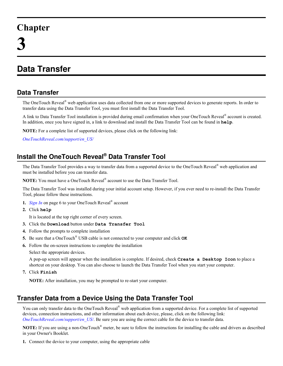# <span id="page-18-0"></span>**Chapter**

# **Data Transfer**

# **Data Transfer**

The OneTouch Reveal<sup>®</sup> web application uses data collected from one or more supported devices to generate reports. In order to transfer data using the Data Transfer Tool, you must first install the Data Transfer Tool.

A link to Data Transfer Tool installation is provided during email confirmation when your OneTouch Reveal® account is created. In addition, once you have signed in, a link to download and install the Data Transfer Tool can be found in **help**.

**NOTE:** For a complete list of supported devices, please click on the following link:

*[OneTouchReveal.com/support/en\\_US/](https://OneTouchReveal.com/support/en_US/)*

# **Install the OneTouch Reveal® Data Transfer Tool**

The Data Transfer Tool provides a way to transfer data from a supported device to the OneTouch Reveal® web application and must be installed before you can transfer data.

**NOTE:** You must have a OneTouch Reveal® account to use the Data Transfer Tool.

The Data Transfer Tool was installed during your initial account setup. However, if you ever need to re-install the Data Transfer Tool, please follow these instructions.

- **1.** *[Sign In](#page-5-0)* on page 6 to your OneTouch Reveal® account
- **2.** Click **help**

It is located at the top right corner of every screen.

- **3.** Click the **Download** button under **Data Transfer Tool**
- **4.** Follow the prompts to complete installation
- **5.** Be sure that a OneTouch® USB cable is not connected to your computer and click **OK**
- **6.** Follow the on-screen instructions to complete the installation

Select the appropriate devices.

A pop-up screen will appear when the installation is complete. If desired, check **Create a Desktop Icon** to place a shortcut on your desktop. You can also choose to launch the Data Transfer Tool when you start your computer.

**7.** Click **Finish**

**NOTE:** After installation, you may be prompted to re-start your computer.

# **Transfer Data from a Device Using the Data Transfer Tool**

You can only transfer data to the OneTouch Reveal® web application from a supported device. For a complete list of supported devices, connection instructions, and other information about each device, please, click on the following link: *[OneTouchReveal.com/support/en\\_US/](https://OneTouchReveal.com/support/en_US/)*. Be sure you are using the correct cable for the device to transfer data.

**NOTE:** If you are using a non-OneTouch® meter, be sure to follow the instructions for installing the cable and drivers as described in your Owner's Booklet.

**1.** Connect the device to your computer, using the appropriate cable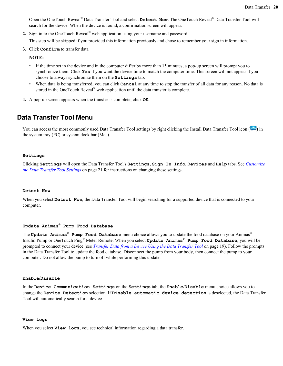<span id="page-19-0"></span>Open the OneTouch Reveal® Data Transfer Tool and select **Detect Now**. The OneTouch Reveal® Data Transfer Tool will search for the device. When the device is found, a confirmation screen will appear.

- **2.** Sign in to the OneTouch Reveal® web application using your username and password This step will be skipped if you provided this information previously and chose to remember your sign in information.
- **3.** Click **Confirm** to transfer data

**NOTE:**

- If the time set in the device and in the computer differ by more than 15 minutes, a pop-up screen will prompt you to synchronize them. Click **Yes** if you want the device time to match the computer time. This screen will not appear if you choose to always synchronize them on the **Settings** tab.
- When data is being transferred, you can click **Cancel** at any time to stop the transfer of all data for any reason. No data is stored in the OneTouch Reveal<sup>®</sup> web application until the data transfer is complete.
- **4.** A pop-up screen appears when the transfer is complete, click **OK**

## **Data Transfer Tool Menu**

You can access the most commonly used Data Transfer Tool settings by right clicking the Install Data Transfer Tool icon ( $\ddot{\bullet}$ ) in the system tray (PC) or system dock bar (Mac).

#### **Settings**

Clicking **Settings** will open the Data Transfer Tool's **Settings**, **Sign In Info**, **Devices** and **Help** tabs. See *[Customize](#page-20-0) [the Data Transfer Tool Settings](#page-20-0)* on page 21 for instructions on changing these settings.

#### **Detect Now**

When you select **Detect Now**, the Data Transfer Tool will begin searching for a supported device that is connected to your computer.

#### **Update Animas® Pump Food Database**

The **Update Animas® Pump Food Database** menu choice allows you to update the food database on your Animas® Insulin Pump or OneTouch Ping® Meter Remote. When you select **Update Animas® Pump Food Database**, you will be prompted to connect your device (see *[Transfer Data from a Device Using the Data Transfer Tool](#page-18-0)* on page 19). Follow the prompts in the Data Transfer Tool to update the food database. Disconnect the pump from your body, then connect the pump to your computer. Do not allow the pump to turn off while performing this update.

#### **Enable/Disable**

In the **Device Communication Settings** on the **Settings** tab, the **Enable**/**Disable** menu choice allows you to change the **Device Detection** selection. If **Disable automatic device detection** is deselected, the Data Transfer Tool will automatically search for a device.

#### **View logs**

When you select **View logs**, you see technical information regarding a data transfer.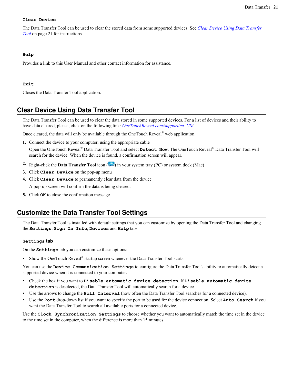#### <span id="page-20-0"></span>**Clear Device**

The Data Transfer Tool can be used to clear the stored data from some supported devices. See *Clear Device Using Data Transfer Tool* on page 21 for instructions.

#### **Help**

Provides a link to this User Manual and other contact information for assistance.

#### **Exit**

Closes the Data Transfer Tool application.

# **Clear Device Using Data Transfer Tool**

The Data Transfer Tool can be used to clear the data stored in some supported devices. For a list of devices and their ability to have data cleared, please, click on the following link: *[OneTouchReveal.com/support/en\\_US/](https://OneTouchReveal.com/support/en_US/)*.

Once cleared, the data will only be available through the OneTouch Reveal<sup>®</sup> web application.

**1.** Connect the device to your computer, using the appropriate cable

Open the OneTouch Reveal® Data Transfer Tool and select **Detect Now**. The OneTouch Reveal® Data Transfer Tool will search for the device. When the device is found, a confirmation screen will appear.

- **2.** Right-click the **Data Transfer Tool** icon  $(\cdot)$  in your system tray (PC) or system dock (Mac)
- **3.** Click **Clear Device** on the pop-up menu
- **4.** Click **Clear Device** to permanently clear data from the device A pop-up screen will confirm the data is being cleared.
- **5.** Click **OK** to close the confirmation message

# **Customize the Data Transfer Tool Settings**

The Data Transfer Tool is installed with default settings that you can customize by opening the Data Transfer Tool and changing the **Settings**, **Sign In Info**, **Devices** and **Help** tabs.

#### **Settings tab**

On the **Settings** tab you can customize these options:

• Show the OneTouch Reveal<sup>®</sup> startup screen whenever the Data Transfer Tool starts.

You can use the **Device Communication Settings** to configure the Data Transfer Tool's ability to automatically detect a supported device when it is connected to your computer.

- Check the box if you want to **Disable automatic device detection**. If **Disable automatic device detection** is deselected, the Data Transfer Tool will automatically search for a device.
- Use the arrows to change the **Poll Interval** (how often the Data Transfer Tool searches for a connected device).
- Use the **Port** drop-down list if you want to specify the port to be used for the device connection. Select **Auto Search** if you want the Data Transfer Tool to search all available ports for a connected device.

Use the **Clock Synchronization Settings** to choose whether you want to automatically match the time set in the device to the time set in the computer, when the difference is more than 15 minutes.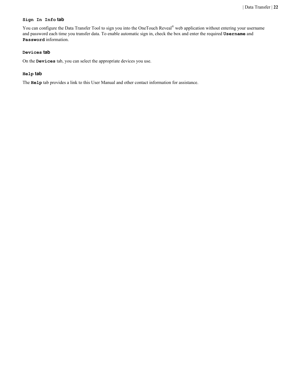#### **Sign In Info tab**

You can configure the Data Transfer Tool to sign you into the OneTouch Reveal<sup>®</sup> web application without entering your username and password each time you transfer data. To enable automatic sign in, check the box and enter the required **Username** and **Password** information.

#### **Devices tab**

On the **Devices** tab, you can select the appropriate devices you use.

#### **Help tab**

The **Help** tab provides a link to this User Manual and other contact information for assistance.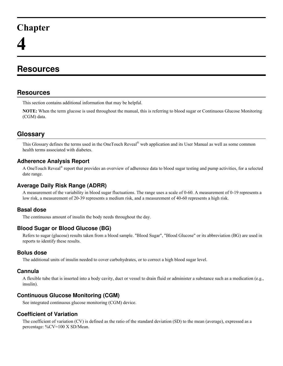# <span id="page-22-0"></span>**Chapter**

# **Resources**

# **Resources**

This section contains additional information that may be helpful.

**NOTE:** When the term glucose is used throughout the manual, this is referring to blood sugar or Continuous Glucose Monitoring (CGM) data.

# **Glossary**

This Glossary defines the terms used in the OneTouch Reveal® web application and its User Manual as well as some common health terms associated with diabetes.

## **Adherence Analysis Report**

A OneTouch Reveal<sup>®</sup> report that provides an overview of adherence data to blood sugar testing and pump activities, for a selected date range.

## **Average Daily Risk Range (ADRR)**

A measurement of the variability in blood sugar fluctuations. The range uses a scale of 0-60. A measurement of 0-19 represents a low risk, a measurement of 20-39 represents a medium risk, and a measurement of 40-60 represents a high risk.

## **Basal dose**

The continuous amount of insulin the body needs throughout the day.

## **Blood Sugar or Blood Glucose (BG)**

Refers to sugar (glucose) results taken from a blood sample. "Blood Sugar", "Blood Glucose" or its abbreviation (BG) are used in reports to identify these results.

## **Bolus dose**

The additional units of insulin needed to cover carbohydrates, or to correct a high blood sugar level.

## **Cannula**

A flexible tube that is inserted into a body cavity, duct or vessel to drain fluid or administer a substance such as a medication (e.g., insulin).

## **Continuous Glucose Monitoring (CGM)**

See integrated continuous glucose monitoring (CGM) device.

## **Coefficient of Variation**

The coefficient of variation (CV) is defined as the ratio of the standard deviation (SD) to the mean (average), expressed as a percentage: %CV=100 X SD/Mean.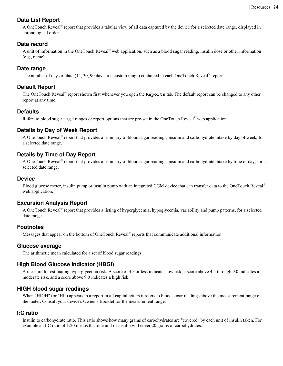# **Data List Report**

A OneTouch Reveal<sup>®</sup> report that provides a tabular view of all data captured by the device for a selected date range, displayed in chronological order.

## **Data record**

A unit of information in the OneTouch Reveal® web application, such as a blood sugar reading, insulin dose or other information (e.g., name).

## **Date range**

The number of days of data (14, 30, 90 days or a custom range) contained in each OneTouch Reveal® report.

## **Default Report**

The OneTouch Reveal® report shown first whenever you open the **Reports** tab. The default report can be changed to any other report at any time.

## **Defaults**

Refers to blood sugar target ranges or report options that are pre-set in the OneTouch Reveal® web application.

## **Details by Day of Week Report**

A OneTouch Reveal® report that provides a summary of blood sugar readings, insulin and carbohydrate intake by day of week, for a selected date range.

# **Details by Time of Day Report**

A OneTouch Reveal® report that provides a summary of blood sugar readings, insulin and carbohydrate intake by time of day, for a selected date range.

### **Device**

Blood glucose meter, insulin pump or insulin pump with an integrated CGM device that can transfer data to the OneTouch Reveal<sup>®</sup> web application.

# **Excursion Analysis Report**

A OneTouch Reveal® report that provides a listing of hyperglycemia, hypoglycemia, variability and pump patterns, for a selected date range.

## **Footnotes**

Messages that appear on the bottom of OneTouch Reveal<sup>®</sup> reports that communicate additional information.

### **Glucose average**

The arithmetic mean calculated for a set of blood sugar readings.

## **High Blood Glucose Indicator (HBGI)**

A measure for estimating hyperglycemia risk. A score of 4.5 or less indicates low risk, a score above 4.5 through 9.0 indicates a moderate risk, and a score above 9.0 indicates a high risk.

### **HIGH blood sugar readings**

When "HIGH" (or "HI") appears in a report in all capital letters it refers to blood sugar readings above the measurement range of the meter. Consult your device's Owner's Booklet for the measurement range.

### **I:C ratio**

Insulin to carbohydrate ratio. This ratio shows how many grams of carbohydrates are "covered" by each unit of insulin taken. For example an I:C ratio of 1:20 means that one unit of insulin will cover 20 grams of carbohydrates.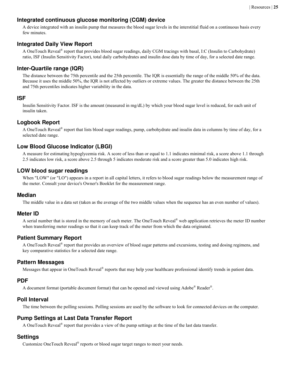## **Integrated continuous glucose monitoring (CGM) device**

A device integrated with an insulin pump that measures the blood sugar levels in the interstitial fluid on a continuous basis every few minutes.

## **Integrated Daily View Report**

A OneTouch Reveal® report that provides blood sugar readings, daily CGM tracings with basal, I:C (Insulin to Carbohydrate) ratio, ISF (Insulin Sensitivity Factor), total daily carbohydrates and insulin dose data by time of day, for a selected date range.

## **Inter-Quartile range (IQR)**

The distance between the 75th percentile and the 25th percentile. The IQR is essentially the range of the middle 50% of the data. Because it uses the middle 50%, the IQR is not affected by outliers or extreme values. The greater the distance between the 25th and 75th percentiles indicates higher variability in the data.

### **ISF**

Insulin Sensitivity Factor. ISF is the amount (measured in mg/dL) by which your blood sugar level is reduced, for each unit of insulin taken.

### **Logbook Report**

A OneTouch Reveal® report that lists blood sugar readings, pump, carbohydrate and insulin data in columns by time of day, for a selected date range.

## **Low Blood Glucose Indicator (LBGI)**

A measure for estimating hypoglycemia risk. A score of less than or equal to 1.1 indicates minimal risk, a score above 1.1 through 2.5 indicates low risk, a score above 2.5 through 5 indicates moderate risk and a score greater than 5.0 indicates high risk.

## **LOW blood sugar readings**

When "LOW" (or "LO") appears in a report in all capital letters, it refers to blood sugar readings below the measurement range of the meter. Consult your device's Owner's Booklet for the measurement range.

### **Median**

The middle value in a data set (taken as the average of the two middle values when the sequence has an even number of values).

### **Meter ID**

A serial number that is stored in the memory of each meter. The OneTouch Reveal® web application retrieves the meter ID number when transferring meter readings so that it can keep track of the meter from which the data originated.

## **Patient Summary Report**

A OneTouch Reveal® report that provides an overview of blood sugar patterns and excursions, testing and dosing regimens, and key comparative statistics for a selected date range.

### **Pattern Messages**

Messages that appear in OneTouch Reveal® reports that may help your healthcare professional identify trends in patient data.

### **PDF**

A document format (portable document format) that can be opened and viewed using Adobe® Reader®.

## **Poll Interval**

The time between the polling sessions. Polling sessions are used by the software to look for connected devices on the computer.

# **Pump Settings at Last Data Transfer Report**

A OneTouch Reveal<sup>®</sup> report that provides a view of the pump settings at the time of the last data transfer.

## **Settings**

Customize OneTouch Reveal® reports or blood sugar target ranges to meet your needs.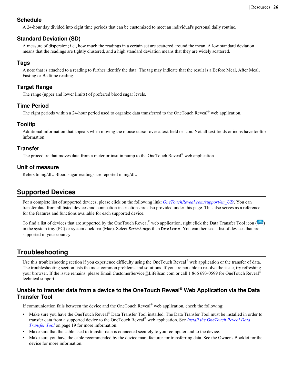## <span id="page-25-0"></span>**Schedule**

A 24-hour day divided into eight time periods that can be customized to meet an individual's personal daily routine.

# **Standard Deviation (SD)**

A measure of dispersion; i.e., how much the readings in a certain set are scattered around the mean. A low standard deviation means that the readings are tightly clustered, and a high standard deviation means that they are widely scattered.

## **Tags**

A note that is attached to a reading to further identify the data. The tag may indicate that the result is a Before Meal, After Meal, Fasting or Bedtime reading.

## **Target Range**

The range (upper and lower limits) of preferred blood sugar levels.

## **Time Period**

The eight periods within a 24-hour period used to organize data transferred to the OneTouch Reveal® web application.

## **Tooltip**

Additional information that appears when moving the mouse cursor over a text field or icon. Not all text fields or icons have tooltip information.

## **Transfer**

The procedure that moves data from a meter or insulin pump to the OneTouch Reveal<sup>®</sup> web application.

### **Unit of measure**

Refers to mg/dL. Blood sugar readings are reported in mg/dL.

# **Supported Devices**

For a complete list of supported devices, please click on the following link: *[OneTouchReveal.com/support/en\\_US/](https://OneTouchReveal.com/support/en_US/)*. You can transfer data from all listed devices and connection instructions are also provided under this page. This also serves as a reference for the features and functions available for each supported device.

To find a list of devices that are supported by the OneTouch Reveal<sup>®</sup> web application, right click the Data Transfer Tool icon ( $\ddot{\ddot{\cdot}}$ ) in the system tray (PC) or system dock bar (Mac). Select **Settings** then **Devices**. You can then see a list of devices that are supported in your country.

# **Troubleshooting**

Use this troubleshooting section if you experience difficulty using the OneTouch Reveal<sup>®</sup> web application or the transfer of data. The troubleshooting section lists the most common problems and solutions. If you are not able to resolve the issue, try refreshing your browser. If the issue remains, please Email CustomerService@LifeScan.com or call 1 866 693-0599 for OneTouch Reveal<sup>®</sup> technical support.

## **Unable to transfer data from a device to the OneTouch Reveal® Web Application via the Data Transfer Tool**

If communication fails between the device and the OneTouch Reveal<sup>®</sup> web application, check the following:

- Make sure you have the OneTouch Reveal® Data Transfer Tool installed. The Data Transfer Tool must be installed in order to transfer data from a supported device to the OneTouch Reveal® web application. See *[Install the OneTouch Reveal Data](#page-18-0) [Transfer Tool](#page-18-0)* on page 19 for more information.
- Make sure that the cable used to transfer data is connected securely to your computer and to the device.
- Make sure you have the cable recommended by the device manufacturer for transferring data. See the Owner's Booklet for the device for more information.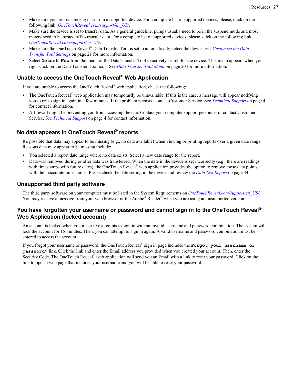- <span id="page-26-0"></span>Make sure you are transferring data from a supported device. For a complete list of supported devices, please, click on the following link: *[OneTouchReveal.com/support/en\\_US/](https://OneTouchReveal.com/support/en_US/)*.
- Make sure the device is set to transfer data. As a general guideline, pumps usually need to be in the suspend mode and most meters need to be turned off to transfer data. For a complete list of supported devices, please, click on the following link: *[OneTouchReveal.com/support/en\\_US/](https://OneTouchReveal.com/support/en_US/)*.
- Make sure the OneTouch Reveal® Data Transfer Tool is set to automatically detect the device. See *[Customize the Data](#page-20-0) [Transfer Tool Settings](#page-20-0)* on page 21 for more information.
- Select **Detect Now** from the menu of the Data Transfer Tool to actively search for the device. This menu appears when you right-click on the Data Transfer Tool icon. See *[Data Transfer Tool Menu](#page-19-0)* on page 20 for more information.

## **Unable to access the OneTouch Reveal® Web Application**

If you are unable to access the OneTouch Reveal<sup>®</sup> web application, check the following:

- The OneTouch Reveal<sup>®</sup> web application may temporarily be unavailable. If this is the case, a message will appear notifying you to try to sign in again in a few minutes. If the problem persists, contact Customer Service. See *[Technical Support](#page-3-0)* on page 4 for contact information.
- A firewall might be preventing you from accessing the site. Contact your computer support personnel or contact Customer Service. See *[Technical Support](#page-3-0)* on page 4 for contact information.

## **No data appears in OneTouch Reveal® reports**

It's possible that data may appear to be missing (e.g., no data available) when viewing or printing reports over a given date range. Reasons data may appear to be missing include:

- You selected a report date range where no data exists. Select a new date range for the report.
- Data was removed during or after data was transferred. When the date in the device is set incorrectly (e.g., there are readings with timestamps with future dates), the OneTouch Reveal<sup>®</sup> web application provides the option to remove those data points with the inaccurate timestamps. Please check the date setting in the device and review the *[Data List Report](#page-33-0)* on page 34.

#### **Unsupported third party software**

The third party software on your computer must be listed in the System Requirements on *[OneTouchReveal.com/support/en\\_US/](https://OneTouchReveal.com/support/en_US/)*. You may receive a message from your web browser or the Adobe® Reader® when you are using an unsupported version.

### **You have forgotten your username or password and cannot sign in to the OneTouch Reveal® Web Application (locked account)**

An account is locked when you make five attempts to sign in with an invalid username and password combination. The system will lock the account for 15 minutes. Then, you can attempt to sign in again. A valid username and password combination must be entered to access the account.

If you forgot your username or password, the OneTouch Reveal® sign in page includes the **Forgot your username or password?** link. Click the link and enter the Email address you provided when you created your account. Then, enter the Security Code. The OneTouch Reveal<sup>®</sup> web application will send you an Email with a link to reset your password. Click on the link to open a web page that includes your username and you will be able to reset your password.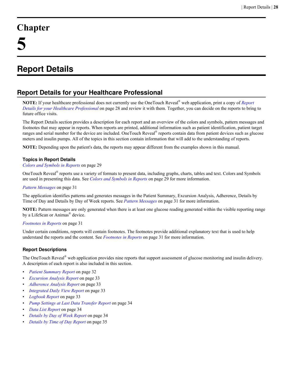# <span id="page-27-0"></span>**Chapter**

# **Report Details**

# **Report Details for your Healthcare Professional**

**NOTE:** If your healthcare professional does not currently use the OneTouch Reveal® web application, print a copy of *Report Details for your Healthcare Professional* on page 28 and review it with them. Together, you can decide on the reports to bring to future office visits.

The Report Details section provides a description for each report and an overview of the colors and symbols, pattern messages and footnotes that may appear in reports. When reports are printed, additional information such as patient identification, patient target ranges and serial number for the device are included. OneTouch Reveal® reports contain data from patient devices such as glucose meters and insulin pumps. All of the topics in this section contain information that will add to the understanding of reports.

**NOTE:** Depending upon the patient's data, the reports may appear different from the examples shown in this manual.

#### **Topics in Report Details**

*[Colors and Symbols in Reports](#page-28-0)* on page 29

OneTouch Reveal® reports use a variety of formats to present data, including graphs, charts, tables and text. Colors and Symbols are used in presenting this data. See *[Colors and Symbols in Reports](#page-28-0)* on page 29 for more information.

#### *[Pattern Messages](#page-30-0)* on page 31

The application identifies patterns and generates messages in the Patient Summary, Excursion Analysis, Adherence, Details by Time of Day and Details by Day of Week reports. See *[Pattern Messages](#page-30-0)* on page 31 for more information.

**NOTE:** Pattern messages are only generated when there is at least one glucose reading generated within the visible reporting range by a LifeScan or Animas<sup>®</sup> device.

#### *[Footnotes in Reports](#page-30-0)* on page 31

Under certain conditions, reports will contain footnotes. The footnotes provide additional explanatory text that is used to help understand the reports and the content. See *[Footnotes in Reports](#page-30-0)* on page 31 for more information.

#### **Report Descriptions**

The OneTouch Reveal<sup>®</sup> web application provides nine reports that support assessment of glucose monitoring and insulin delivery. A description of each report is also included in this section.

- *[Patient Summary Report](#page-31-0)* on page 32
- *[Excursion Analysis Report](#page-32-0)* on page 33
- *[Adherence Analysis Report](#page-32-0)* on page 33
- *[Integrated Daily View Report](#page-32-0)* on page 33
- *[Logbook Report](#page-32-0)* on page 33
- *[Pump Settings at Last Data Transfer Report](#page-33-0)* on page 34
- *[Data List Report](#page-33-0)* on page 34
- *[Details by Day of Week Report](#page-33-0)* on page 34
- *[Details by Time of Day Report](#page-34-0)* on page 35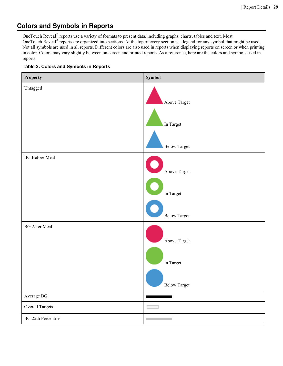# <span id="page-28-0"></span>**Colors and Symbols in Reports**

OneTouch Reveal® reports use a variety of formats to present data, including graphs, charts, tables and text. Most OneTouch Reveal<sup>®</sup> reports are organized into sections. At the top of every section is a legend for any symbol that might be used. Not all symbols are used in all reports. Different colors are also used in reports when displaying reports on screen or when printing in color. Colors may vary slightly between on-screen and printed reports. As a reference, here are the colors and symbols used in reports.

#### **Table 2: Colors and Symbols in Reports**

| <b>Property</b>           | Symbol                     |
|---------------------------|----------------------------|
| Untagged                  | Above Target               |
|                           | In Target                  |
|                           | <b>Below Target</b>        |
| <b>BG</b> Before Meal     | Above Target               |
|                           |                            |
|                           | In $\operatorname{Target}$ |
|                           | Below Target               |
| <b>BG</b> After Meal      |                            |
|                           | Above Target               |
|                           | In $\operatorname{Target}$ |
|                           | Below Target               |
| Average BG                |                            |
| Overall Targets           |                            |
| <b>BG 25th Percentile</b> | <b>Contract</b>            |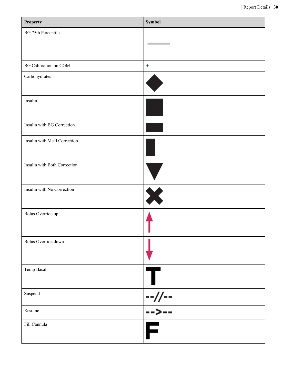| Property                     | Symbol                   |
|------------------------------|--------------------------|
| <b>BG 75th Percentile</b>    | <b>Contract Contract</b> |
|                              |                          |
| BG Calibration on CGM        | $\ddot{\textbf{r}}$      |
| Carbohydrates                |                          |
| Insulin                      |                          |
| Insulin with BG Correction   |                          |
| Insulin with Meal Correction |                          |
| Insulin with Both Correction |                          |
| Insulin with No Correction   | X                        |
| Bolus Override up            |                          |
| Bolus Override down          |                          |
| Temp Basal                   |                          |
| Suspend                      | --//--                   |
| Resume                       | -->--                    |
| Fill Cannula                 |                          |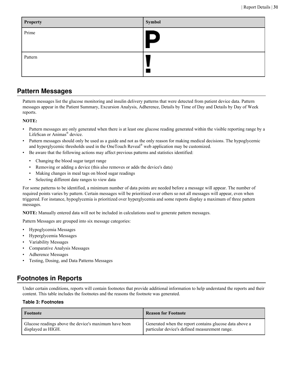<span id="page-30-0"></span>

| <b>Property</b> | Symbol       |
|-----------------|--------------|
| Prime           | $\vert$<br>D |
| Pattern         |              |

# **Pattern Messages**

Pattern messages list the glucose monitoring and insulin delivery patterns that were detected from patient device data. Pattern messages appear in the Patient Summary, Excursion Analysis, Adherence, Details by Time of Day and Details by Day of Week reports.

### **NOTE:**

- Pattern messages are only generated when there is at least one glucose reading generated within the visible reporting range by a LifeScan or Animas® device.
- Pattern messages should only be used as a guide and not as the only reason for making medical decisions. The hypoglycemic and hyperglycemic thresholds used in the OneTouch Reveal<sup>®</sup> web application may be customized.
- Be aware that the following actions may affect previous patterns and statistics identified:
	- Changing the blood sugar target range
	- Removing or adding a device (this also removes or adds the device's data)
	- Making changes in meal tags on blood sugar readings
	- Selecting different date ranges to view data

For some patterns to be identified, a minimum number of data points are needed before a message will appear. The number of required points varies by pattern. Certain messages will be prioritized over others so not all messages will appear, even when triggered. For instance, hypoglycemia is prioritized over hyperglycemia and some reports display a maximum of three pattern messages.

**NOTE:** Manually entered data will not be included in calculations used to generate pattern messages.

Pattern Messages are grouped into six message categories:

- Hypoglycemia Messages
- Hyperglycemia Messages
- Variability Messages
- Comparative Analysis Messages
- Adherence Messages
- Testing, Dosing, and Data Patterns Messages

# **Footnotes in Reports**

Under certain conditions, reports will contain footnotes that provide additional information to help understand the reports and their content. This table includes the footnotes and the reasons the footnote was generated.

#### **Table 3: Footnotes**

| Footnote                                              | <b>Reason for Footnote</b>                              |
|-------------------------------------------------------|---------------------------------------------------------|
| Glucose readings above the device's maximum have been | Generated when the report contains glucose data above a |
| displayed as HIGH.                                    | particular device's defined measurement range.          |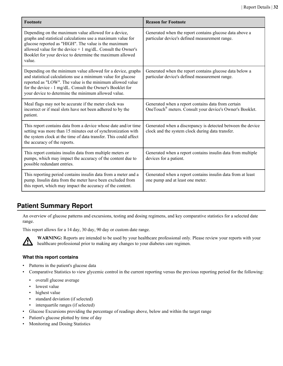<span id="page-31-0"></span>

| Footnote                                                                                                                                                                                                                                                                                                          | <b>Reason for Footnote</b>                                                                                      |
|-------------------------------------------------------------------------------------------------------------------------------------------------------------------------------------------------------------------------------------------------------------------------------------------------------------------|-----------------------------------------------------------------------------------------------------------------|
| Depending on the maximum value allowed for a device,<br>graphs and statistical calculations use a maximum value for<br>glucose reported as "HIGH". The value is the maximum<br>allowed value for the device $+1$ mg/dL. Consult the Owner's<br>Booklet for your device to determine the maximum allowed<br>value. | Generated when the report contains glucose data above a<br>particular device's defined measurement range.       |
| Depending on the minimum value allowed for a device, graphs<br>and statistical calculations use a minimum value for glucose<br>reported as "LOW". The value is the minimum allowed value<br>for the device - 1 mg/dL. Consult the Owner's Booklet for<br>your device to determine the minimum allowed value.      | Generated when the report contains glucose data below a<br>particular device's defined measurement range.       |
| Meal flags may not be accurate if the meter clock was<br>incorrect or if meal slots have not been adhered to by the<br>patient.                                                                                                                                                                                   | Generated when a report contains data from certain<br>OneTouch® meters. Consult your device's Owner's Booklet.  |
| This report contains data from a device whose date and/or time<br>setting was more than 15 minutes out of synchronization with<br>the system clock at the time of data transfer. This could affect<br>the accuracy of the reports.                                                                                | Generated when a discrepancy is detected between the device<br>clock and the system clock during data transfer. |
| This report contains insulin data from multiple meters or<br>pumps, which may impact the accuracy of the content due to<br>possible redundant entries.                                                                                                                                                            | Generated when a report contains insulin data from multiple<br>devices for a patient.                           |
| This reporting period contains insulin data from a meter and a<br>pump. Insulin data from the meter have been excluded from<br>this report, which may impact the accuracy of the content.                                                                                                                         | Generated when a report contains insulin data from at least<br>one pump and at least one meter.                 |

# **Patient Summary Report**

An overview of glucose patterns and excursions, testing and dosing regimens, and key comparative statistics for a selected date range.

This report allows for a 14 day, 30 day, 90 day or custom date range.



**WARNING:** Reports are intended to be used by your healthcare professional only. Please review your reports with your healthcare professional prior to making any changes to your diabetes care regimen.

### **What this report contains**

- Patterns in the patient's glucose data
- Comparative Statistics to view glycemic control in the current reporting versus the previous reporting period for the following:
	- overall glucose average
	- lowest value
	- highest value
	- standard deviation (if selected)
	- interquartile ranges (if selected)
- Glucose Excursions providing the percentage of readings above, below and within the target range
- Patient's glucose plotted by time of day
- Monitoring and Dosing Statistics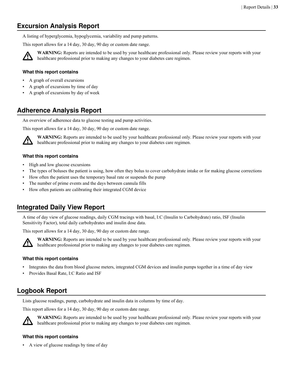# <span id="page-32-0"></span>**Excursion Analysis Report**

A listing of hyperglycemia, hypoglycemia, variability and pump patterns.

This report allows for a 14 day, 30 day, 90 day or custom date range.



**WARNING:** Reports are intended to be used by your healthcare professional only. Please review your reports with your healthcare professional prior to making any changes to your diabetes care regimen.

#### **What this report contains**

- A graph of overall excursions
- A graph of excursions by time of day
- A graph of excursions by day of week

# **Adherence Analysis Report**

An overview of adherence data to glucose testing and pump activities.

This report allows for a 14 day, 30 day, 90 day or custom date range.



**WARNING:** Reports are intended to be used by your healthcare professional only. Please review your reports with your healthcare professional prior to making any changes to your diabetes care regimen.

#### **What this report contains**

- High and low glucose excursions
- The types of boluses the patient is using, how often they bolus to cover carbohydrate intake or for making glucose corrections
- How often the patient uses the temporary basal rate or suspends the pump
- The number of prime events and the days between cannula fills
- How often patients are calibrating their integrated CGM device

# **Integrated Daily View Report**

A time of day view of glucose readings, daily CGM tracings with basal, I:C (Insulin to Carbohydrate) ratio, ISF (Insulin Sensitivity Factor), total daily carbohydrates and insulin dose data.

This report allows for a 14 day, 30 day, 90 day or custom date range.



**WARNING:** Reports are intended to be used by your healthcare professional only. Please review your reports with your healthcare professional prior to making any changes to your diabetes care regimen.

#### **What this report contains**

- Integrates the data from blood glucose meters, integrated CGM devices and insulin pumps together in a time of day view
- Provides Basal Rate, I:C Ratio and ISF

# **Logbook Report**

Lists glucose readings, pump, carbohydrate and insulin data in columns by time of day.

This report allows for a 14 day, 30 day, 90 day or custom date range.



**WARNING:** Reports are intended to be used by your healthcare professional only. Please review your reports with your healthcare professional prior to making any changes to your diabetes care regimen.

### **What this report contains**

• A view of glucose readings by time of day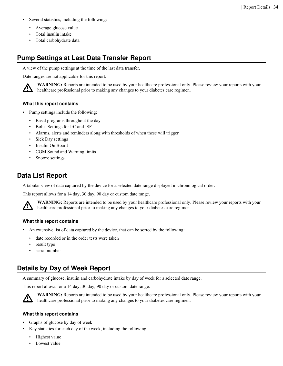- <span id="page-33-0"></span>Several statistics, including the following:
	- Average glucose value
	- Total insulin intake
	- Total carbohydrate data

# **Pump Settings at Last Data Transfer Report**

A view of the pump settings at the time of the last data transfer.

Date ranges are not applicable for this report.



**WARNING:** Reports are intended to be used by your healthcare professional only. Please review your reports with your healthcare professional prior to making any changes to your diabetes care regimen.

#### **What this report contains**

- Pump settings include the following:
	- Basal programs throughout the day
	- Bolus Settings for I:C and ISF
	- Alarms, alerts and reminders along with thresholds of when these will trigger
	- Sick Day settings
	- Insulin On Board
	- CGM Sound and Warning limits
	- Snooze settings

# **Data List Report**

A tabular view of data captured by the device for a selected date range displayed in chronological order.

This report allows for a 14 day, 30 day, 90 day or custom date range.



**WARNING:** Reports are intended to be used by your healthcare professional only. Please review your reports with your healthcare professional prior to making any changes to your diabetes care regimen.

#### **What this report contains**

- An extensive list of data captured by the device, that can be sorted by the following:
	- date recorded or in the order tests were taken
	- result type
	- serial number

# **Details by Day of Week Report**

A summary of glucose, insulin and carbohydrate intake by day of week for a selected date range.

This report allows for a 14 day, 30 day, 90 day or custom date range.



**WARNING:** Reports are intended to be used by your healthcare professional only. Please review your reports with your healthcare professional prior to making any changes to your diabetes care regimen.

#### **What this report contains**

- Graphs of glucose by day of week
- Key statistics for each day of the week, including the following:
	- Highest value
	- Lowest value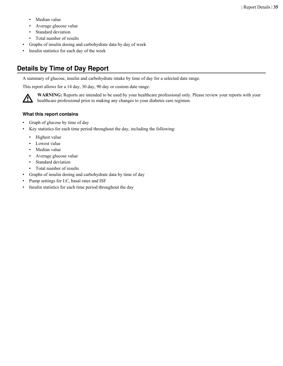- <span id="page-34-0"></span>• Median value
- Average glucose value
- Standard deviation
- Total number of results
- Graphs of insulin dosing and carbohydrate data by day of week
- Insulin statistics for each day of the week

# **Details by Time of Day Report**

A summary of glucose, insulin and carbohydrate intake by time of day for a selected date range.

This report allows for a 14 day, 30 day, 90 day or custom date range.



**WARNING:** Reports are intended to be used by your healthcare professional only. Please review your reports with your healthcare professional prior to making any changes to your diabetes care regimen.

#### **What this report contains**

- Graph of glucose by time of day
- Key statistics for each time period throughout the day, including the following:
	- Highest value
	- Lowest value
	- Median value
	- Average glucose value
	- Standard deviation
	- Total number of results
- Graphs of insulin dosing and carbohydrate data by time of day
- Pump settings for I:C, basal rates and ISF
- Insulin statistics for each time period throughout the day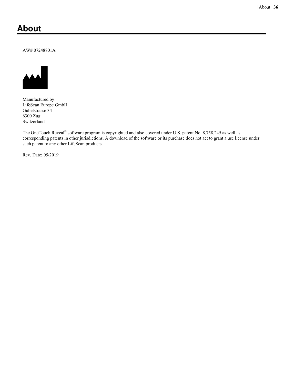# <span id="page-35-0"></span>**About**

#### AW# 07248801A



Manufactured by: LifeScan Europe GmbH Gubelstrasse 34 6300 Zug Switzerland

The OneTouch Reveal<sup>®</sup> software program is copyrighted and also covered under U.S. patent No. 8,758,245 as well as corresponding patents in other jurisdictions. A download of the software or its purchase does not act to grant a use license under such patent to any other LifeScan products.

Rev. Date: 05/2019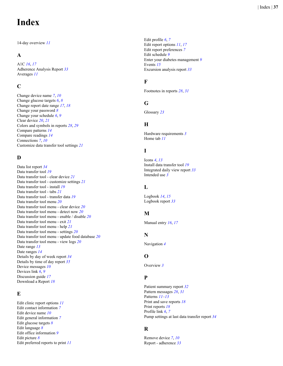# **Index**

14-day overview *[11](#page-10-0)*

# **A**

A1C *[16](#page-15-0)*, *[17](#page-16-0)* Adherence Analysis Report *[33](#page-32-0)* Averages *[11](#page-10-0)*

# **C**

Change device name *[7](#page-6-0)*, *[10](#page-9-0)* Change glucose targets *[6](#page-5-0)*, *[8](#page-7-0)* Change report date range *[17](#page-16-0)*, *[18](#page-17-0)* Change your password *[8](#page-7-0)* Change your schedule *[6](#page-5-0)*, *[9](#page-8-0)* Clear device *[20](#page-19-0)*, *[21](#page-20-0)* Colors and symbols in reports *[28](#page-27-0)*, *[29](#page-28-0)* Compare patterns *[14](#page-13-0)* Compare readings *[14](#page-13-0)* Connections *[7](#page-6-0)*, *[10](#page-9-0)* Customize data transfer tool settings *[21](#page-20-0)*

# **D**

Data list report *[34](#page-33-0)* Data transfer tool *[19](#page-18-0)* Data transfer tool - clear device *[21](#page-20-0)* Data transfer tool - customize settings *[21](#page-20-0)* Data transfer tool - install *[19](#page-18-0)* Data transfer tool - tabs *[21](#page-20-0)* Data transfer tool - transfer data *[19](#page-18-0)* Data transfer tool menu *[20](#page-19-0)* Data transfer tool menu - clear device *[20](#page-19-0)* Data transfer tool menu - detect now *[20](#page-19-0)* Data transfer tool menu - enable / disable *[20](#page-19-0)* Data transfer tool menu - exit *[21](#page-20-0)* Data transfer tool menu - help *[21](#page-20-0)* Data transfer tool menu - settings *[20](#page-19-0)* Data transfer tool menu - update food database *[20](#page-19-0)* Data transfer tool menu - view logs *[20](#page-19-0)* Date range *[13](#page-12-0)* Date ranges *[14](#page-13-0)* Details by day of week report *[34](#page-33-0)* Details by time of day report *[35](#page-34-0)* Device messages *[10](#page-9-0)* Devices link *[6](#page-5-0)*, *[9](#page-8-0)* Discussion guide *[17](#page-16-0)* Download a Report *[18](#page-17-0)*

# **E**

Edit clinic report options *[11](#page-10-0)* Edit contact information *[7](#page-6-0)* Edit device name *[10](#page-9-0)* Edit general information *[7](#page-6-0)* Edit glucose targets *[8](#page-7-0)* Edit language *[8](#page-7-0)* Edit office information *[9](#page-8-0)* Edit picture *[8](#page-7-0)* Edit preferred reports to print *[11](#page-10-0)*

Edit profile *[6](#page-5-0)*, *[7](#page-6-0)* Edit report options *[11](#page-10-0)*, *[17](#page-16-0)* Edit report preferences *[7](#page-6-0)* Edit schedule *[9](#page-8-0)* Enter your diabetes management *[9](#page-8-0)* Events *[15](#page-14-0)* Excursion analysis report *[33](#page-32-0)*

# **F**

Footnotes in reports *[28](#page-27-0)*, *[31](#page-30-0)*

# **G**

Glossary *[23](#page-22-0)*

# **H**

Hardware requirements *[3](#page-2-0)* Home tab *[11](#page-10-0)*

# **I**

```
Icons 
4, 13
Install data transfer tool 19
Integrated daily view report 33
Intended use 
3
```
# **L**

Logbook *[14](#page-13-0)*, *[15](#page-14-0)* Logbook report *[33](#page-32-0)*

# **M**

Manual entry *[16](#page-15-0)*, *[17](#page-16-0)*

# **N**

Navigation *[4](#page-3-0)*

# **O**

Overview *[3](#page-2-0)*

# **P**

```
Patient summary report 32
Pattern messages 28, 31
Patterns 11
–13
Print and save reports 18
Print reports 18
Profile link 
6, 
7
Pump settings at last data transfer report 34
```
# **R**

Remove device *[7](#page-6-0)*, *[10](#page-9-0)* Report - adherence *[33](#page-32-0)*